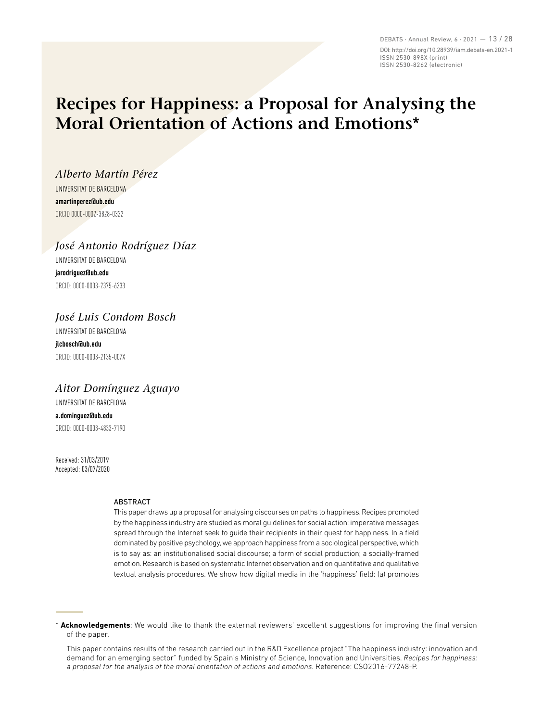DEBATS · Annual Review, 6 · 2021 — 13 / 28 DOI: http://doi.org/10.28939/iam.debats-en.2021-1 ISSN 2530-898X (print) ISSN 2530-8262 (electronic)

# **Recipes for Happiness: a Proposal for Analysing the Moral Orientation of Actions and Emotions\***

*Alberto Martín Pérez* UNIVERSITAT DE BARCELONA **amartinperez@ub.edu**  ORCID 0000-0002-3828-0322

*José Antonio Rodríguez Díaz* UNIVERSITAT DE BARCELONA **jarodriguez@ub.edu** ORCID: 0000-0003-2375-6233

# *José Luis Condom Bosch*

UNIVERSITAT DE BARCELONA **jlcbosch@ub.edu** ORCID: 0000-0003-2135-007X

# *Aitor Domínguez Aguayo*

UNIVERSITAT DE BARCELONA **a.dominguez@ub.edu** ORCID: 0000-0003-4833-7190

Received: 31/03/2019 Accepted: 03/07/2020

#### ABSTRACT

This paper draws up a proposal for analysing discourses on paths to happiness. Recipes promoted by the happiness industry are studied as moral guidelines for social action: imperative messages spread through the Internet seek to guide their recipients in their quest for happiness. In a field dominated by positive psychology, we approach happiness from a sociological perspective, which is to say as: an institutionalised social discourse; a form of social production; a socially-framed emotion. Research is based on systematic Internet observation and on quantitative and qualitative textual analysis procedures. We show how digital media in the 'happiness' field: (a) promotes

\* **Acknowledgements**: We would like to thank the external reviewers' excellent suggestions for improving the final version of the paper.

This paper contains results of the research carried out in the R&D Excellence project "The happiness industry: innovation and demand for an emerging sector" funded by Spain's Ministry of Science, Innovation and Universities. *Recipes for happiness: a proposal for the analysis of the moral orientation of actions and emotions*. Reference: CSO2016-77248-P.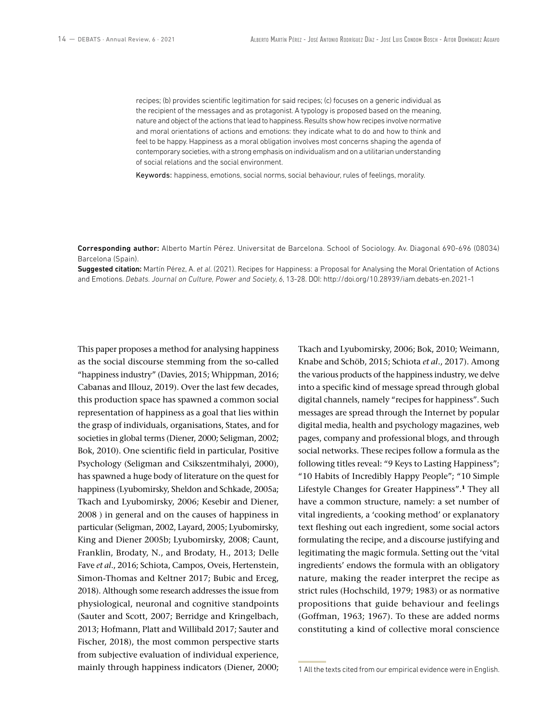recipes; (b) provides scientific legitimation for said recipes; (c) focuses on a generic individual as the recipient of the messages and as protagonist. A typology is proposed based on the meaning, nature and object of the actions that lead to happiness. Results show how recipes involve normative and moral orientations of actions and emotions: they indicate what to do and how to think and feel to be happy. Happiness as a moral obligation involves most concerns shaping the agenda of contemporary societies, with a strong emphasis on individualism and on a utilitarian understanding of social relations and the social environment.

Keywords: happiness, emotions, social norms, social behaviour, rules of feelings, morality.

Corresponding author: Alberto Martín Pérez. Universitat de Barcelona. School of Sociology. Av. Diagonal 690-696 (08034) Barcelona (Spain).

Suggested citation: Martín Pérez, A. *et al*. (2021). Recipes for Happiness: a Proposal for Analysing the Moral Orientation of Actions and Emotions. *Debats. Journal on Culture, Power and Society, 6*, 13-28. DOI: http://doi.org/10.28939/iam.debats-en.2021-1

This paper proposes a method for analysing happiness as the social discourse stemming from the so-called "happiness industry" (Davies, 2015; Whippman, 2016; Cabanas and Illouz, 2019). Over the last few decades, this production space has spawned a common social representation of happiness as a goal that lies within the grasp of individuals, organisations, States, and for societies in global terms (Diener, 2000; Seligman, 2002; Bok, 2010). One scientific field in particular, Positive Psychology (Seligman and Csikszentmihalyi, 2000), has spawned a huge body of literature on the quest for happiness (Lyubomirsky, Sheldon and Schkade, 2005a; Tkach and Lyubomirsky, 2006; Kesebir and Diener, 2008 ) in general and on the causes of happiness in particular (Seligman, 2002, Layard, 2005; Lyubomirsky, King and Diener 2005b; Lyubomirsky, 2008; Caunt, Franklin, Brodaty, N., and Brodaty, H., 2013; Delle Fave *et al*., 2016; Schiota, Campos, Oveis, Hertenstein, Simon-Thomas and Keltner 2017; Bubic and Erceg, 2018). Although some research addresses the issue from physiological, neuronal and cognitive standpoints (Sauter and Scott, 2007; Berridge and Kringelbach, 2013; Hofmann, Platt and Willibald 2017; Sauter and Fischer, 2018), the most common perspective starts from subjective evaluation of individual experience, mainly through happiness indicators (Diener, 2000;

Tkach and Lyubomirsky, 2006; Bok, 2010; Weimann, Knabe and Schöb, 2015; Schiota *et al*., 2017). Among the various products of the happiness industry, we delve into a specific kind of message spread through global digital channels, namely "recipes for happiness". Such messages are spread through the Internet by popular digital media, health and psychology magazines, web pages, company and professional blogs, and through social networks. These recipes follow a formula as the following titles reveal: "9 Keys to Lasting Happiness"; "10 Habits of Incredibly Happy People"; "10 Simple Lifestyle Changes for Greater Happiness".**<sup>1</sup>** They all have a common structure, namely: a set number of vital ingredients, a 'cooking method' or explanatory text fleshing out each ingredient, some social actors formulating the recipe, and a discourse justifying and legitimating the magic formula. Setting out the 'vital ingredients' endows the formula with an obligatory nature, making the reader interpret the recipe as strict rules (Hochschild, 1979; 1983) or as normative propositions that guide behaviour and feelings (Goffman, 1963; 1967). To these are added norms constituting a kind of collective moral conscience

<sup>1</sup> All the texts cited from our empirical evidence were in English.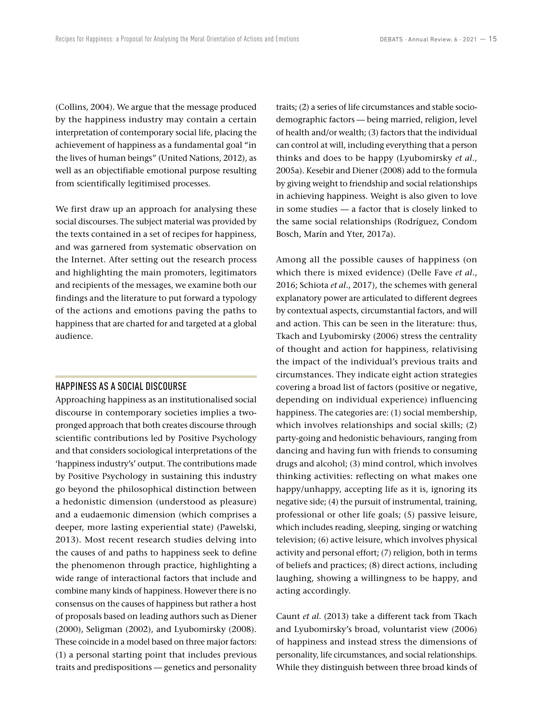(Collins, 2004). We argue that the message produced by the happiness industry may contain a certain interpretation of contemporary social life, placing the achievement of happiness as a fundamental goal "in the lives of human beings" (United Nations, 2012), as well as an objectifiable emotional purpose resulting from scientifically legitimised processes.

We first draw up an approach for analysing these social discourses. The subject material was provided by the texts contained in a set of recipes for happiness, and was garnered from systematic observation on the Internet. After setting out the research process and highlighting the main promoters, legitimators and recipients of the messages, we examine both our findings and the literature to put forward a typology of the actions and emotions paving the paths to happiness that are charted for and targeted at a global audience.

#### HAPPINESS AS A SOCIAL DISCOURSE

Approaching happiness as an institutionalised social discourse in contemporary societies implies a twopronged approach that both creates discourse through scientific contributions led by Positive Psychology and that considers sociological interpretations of the 'happiness industry's' output. The contributions made by Positive Psychology in sustaining this industry go beyond the philosophical distinction between a hedonistic dimension (understood as pleasure) and a eudaemonic dimension (which comprises a deeper, more lasting experiential state) (Pawelski, 2013). Most recent research studies delving into the causes of and paths to happiness seek to define the phenomenon through practice, highlighting a wide range of interactional factors that include and combine many kinds of happiness. However there is no consensus on the causes of happiness but rather a host of proposals based on leading authors such as Diener (2000), Seligman (2002), and Lyubomirsky (2008). These coincide in a model based on three major factors: (1) a personal starting point that includes previous traits and predispositions — genetics and personality traits; (2) a series of life circumstances and stable sociodemographic factors — being married, religion, level of health and/or wealth; (3) factors that the individual can control at will, including everything that a person thinks and does to be happy (Lyubomirsky *et al*., 2005a). Kesebir and Diener (2008) add to the formula by giving weight to friendship and social relationships in achieving happiness. Weight is also given to love in some studies — a factor that is closely linked to the same social relationships (Rodríguez, Condom Bosch, Marín and Yter, 2017a).

Among all the possible causes of happiness (on which there is mixed evidence) (Delle Fave *et al*., 2016; Schiota *et al*., 2017), the schemes with general explanatory power are articulated to different degrees by contextual aspects, circumstantial factors, and will and action. This can be seen in the literature: thus, Tkach and Lyubomirsky (2006) stress the centrality of thought and action for happiness, relativising the impact of the individual's previous traits and circumstances. They indicate eight action strategies covering a broad list of factors (positive or negative, depending on individual experience) influencing happiness. The categories are: (1) social membership, which involves relationships and social skills; (2) party-going and hedonistic behaviours, ranging from dancing and having fun with friends to consuming drugs and alcohol; (3) mind control, which involves thinking activities: reflecting on what makes one happy/unhappy, accepting life as it is, ignoring its negative side; (4) the pursuit of instrumental, training, professional or other life goals; (5) passive leisure, which includes reading, sleeping, singing or watching television; (6) active leisure, which involves physical activity and personal effort; (7) religion, both in terms of beliefs and practices; (8) direct actions, including laughing, showing a willingness to be happy, and acting accordingly.

Caunt *et al*. (2013) take a different tack from Tkach and Lyubomirsky's broad, voluntarist view (2006) of happiness and instead stress the dimensions of personality, life circumstances, and social relationships. While they distinguish between three broad kinds of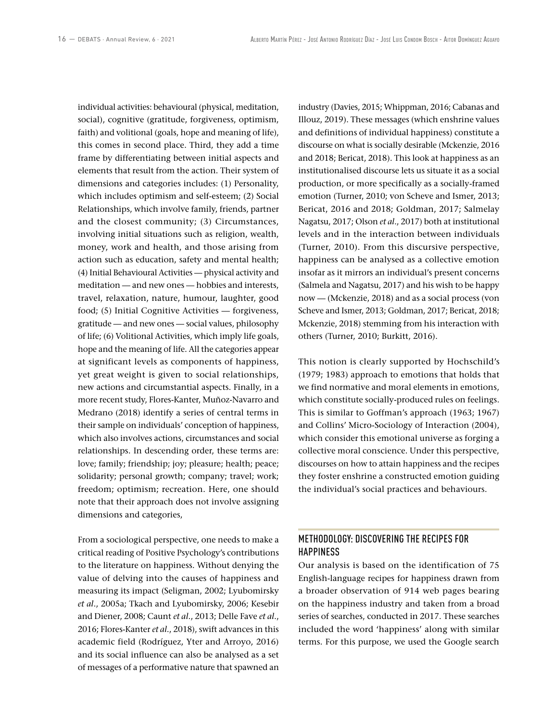individual activities: behavioural (physical, meditation, social), cognitive (gratitude, forgiveness, optimism, faith) and volitional (goals, hope and meaning of life), this comes in second place. Third, they add a time frame by differentiating between initial aspects and elements that result from the action. Their system of dimensions and categories includes: (1) Personality, which includes optimism and self-esteem; (2) Social Relationships, which involve family, friends, partner and the closest community; (3) Circumstances, involving initial situations such as religion, wealth, money, work and health, and those arising from action such as education, safety and mental health; (4) Initial Behavioural Activities — physical activity and meditation — and new ones — hobbies and interests, travel, relaxation, nature, humour, laughter, good food; (5) Initial Cognitive Activities — forgiveness, gratitude — and new ones — social values, philosophy of life; (6) Volitional Activities, which imply life goals, hope and the meaning of life. All the categories appear at significant levels as components of happiness, yet great weight is given to social relationships, new actions and circumstantial aspects. Finally, in a more recent study, Flores-Kanter, Muñoz-Navarro and Medrano (2018) identify a series of central terms in their sample on individuals' conception of happiness, which also involves actions, circumstances and social relationships. In descending order, these terms are: love; family; friendship; joy; pleasure; health; peace; solidarity; personal growth; company; travel; work; freedom; optimism; recreation. Here, one should note that their approach does not involve assigning dimensions and categories,

From a sociological perspective, one needs to make a critical reading of Positive Psychology's contributions to the literature on happiness. Without denying the value of delving into the causes of happiness and measuring its impact (Seligman, 2002; Lyubomirsky *et al*., 2005a; Tkach and Lyubomirsky, 2006; Kesebir and Diener, 2008; Caunt *et al*., 2013; Delle Fave *et al*., 2016; Flores-Kanter *et al*., 2018), swift advances in this academic field (Rodríguez, Yter and Arroyo, 2016) and its social influence can also be analysed as a set of messages of a performative nature that spawned an

industry (Davies, 2015; Whippman, 2016; Cabanas and Illouz, 2019). These messages (which enshrine values and definitions of individual happiness) constitute a discourse on what is socially desirable (Mckenzie, 2016 and 2018; Bericat, 2018). This look at happiness as an institutionalised discourse lets us situate it as a social production, or more specifically as a socially-framed emotion (Turner, 2010; von Scheve and Ismer, 2013; Bericat, 2016 and 2018; Goldman, 2017; Salmelay Nagatsu, 2017; Olson *et al*., 2017) both at institutional levels and in the interaction between individuals (Turner, 2010). From this discursive perspective, happiness can be analysed as a collective emotion insofar as it mirrors an individual's present concerns (Salmela and Nagatsu, 2017) and his wish to be happy now — (Mckenzie, 2018) and as a social process (von Scheve and Ismer, 2013; Goldman, 2017; Bericat, 2018; Mckenzie, 2018) stemming from his interaction with others (Turner, 2010; Burkitt, 2016).

This notion is clearly supported by Hochschild's (1979; 1983) approach to emotions that holds that we find normative and moral elements in emotions, which constitute socially-produced rules on feelings. This is similar to Goffman's approach (1963; 1967) and Collins' Micro-Sociology of Interaction (2004), which consider this emotional universe as forging a collective moral conscience. Under this perspective, discourses on how to attain happiness and the recipes they foster enshrine a constructed emotion guiding the individual's social practices and behaviours.

# METHODOLOGY: DISCOVERING THE RECIPES FOR **HAPPINESS**

Our analysis is based on the identification of 75 English-language recipes for happiness drawn from a broader observation of 914 web pages bearing on the happiness industry and taken from a broad series of searches, conducted in 2017. These searches included the word 'happiness' along with similar terms. For this purpose, we used the Google search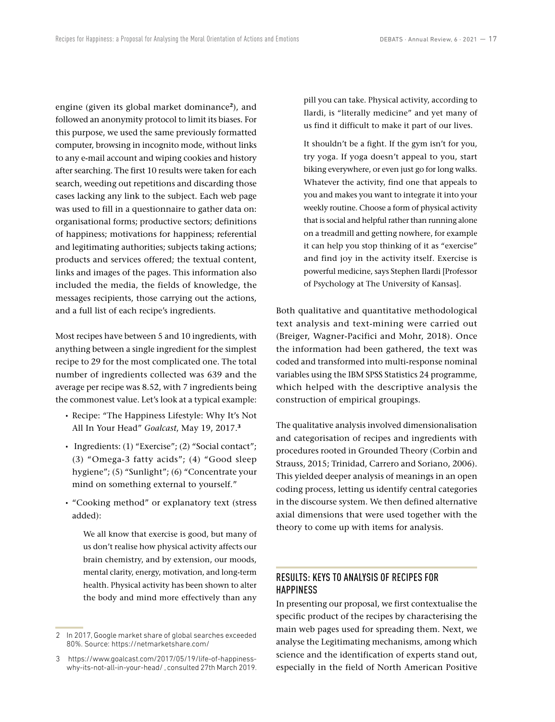engine (given its global market dominance**<sup>2</sup>**), and followed an anonymity protocol to limit its biases. For this purpose, we used the same previously formatted computer, browsing in incognito mode, without links to any e-mail account and wiping cookies and history after searching. The first 10 results were taken for each search, weeding out repetitions and discarding those cases lacking any link to the subject. Each web page was used to fill in a questionnaire to gather data on: organisational forms; productive sectors; definitions of happiness; motivations for happiness; referential and legitimating authorities; subjects taking actions; products and services offered; the textual content, links and images of the pages. This information also included the media, the fields of knowledge, the messages recipients, those carrying out the actions, and a full list of each recipe's ingredients.

Most recipes have between 5 and 10 ingredients, with anything between a single ingredient for the simplest recipe to 29 for the most complicated one. The total number of ingredients collected was 639 and the average per recipe was 8.52, with 7 ingredients being the commonest value. Let's look at a typical example:

- Recipe: "The Happiness Lifestyle: Why It's Not All In Your Head" *Goalcast*, May 19, 2017.**<sup>3</sup>**
- Ingredients: (1) "Exercise"; (2) "Social contact"; (3) "Omega-3 fatty acids"; (4) "Good sleep hygiene"; (5) "Sunlight"; (6) "Concentrate your mind on something external to yourself."
- "Cooking method" or explanatory text (stress added):

We all know that exercise is good, but many of us don't realise how physical activity affects our brain chemistry, and by extension, our moods, mental clarity, energy, motivation, and long-term health. Physical activity has been shown to alter the body and mind more effectively than any pill you can take. Physical activity, according to Ilardi, is "literally medicine" and yet many of us find it difficult to make it part of our lives.

It shouldn't be a fight. If the gym isn't for you, try yoga. If yoga doesn't appeal to you, start biking everywhere, or even just go for long walks. Whatever the activity, find one that appeals to you and makes you want to integrate it into your weekly routine. Choose a form of physical activity that is social and helpful rather than running alone on a treadmill and getting nowhere, for example it can help you stop thinking of it as "exercise" and find joy in the activity itself. Exercise is powerful medicine, says Stephen Ilardi [Professor of Psychology at The University of Kansas].

Both qualitative and quantitative methodological text analysis and text-mining were carried out (Breiger, Wagner-Pacifici and Mohr, 2018). Once the information had been gathered, the text was coded and transformed into multi-response nominal variables using the IBM SPSS Statistics 24 programme, which helped with the descriptive analysis the construction of empirical groupings.

The qualitative analysis involved dimensionalisation and categorisation of recipes and ingredients with procedures rooted in Grounded Theory (Corbin and Strauss, 2015; Trinidad, Carrero and Soriano, 2006). This yielded deeper analysis of meanings in an open coding process, letting us identify central categories in the discourse system. We then defined alternative axial dimensions that were used together with the theory to come up with items for analysis.

# RESULTS: KEYS TO ANALYSIS OF RECIPES FOR HAPPINESS

In presenting our proposal, we first contextualise the specific product of the recipes by characterising the main web pages used for spreading them. Next, we analyse the Legitimating mechanisms, among which science and the identification of experts stand out, especially in the field of North American Positive

<sup>2</sup> In 2017, Google market share of global searches exceeded 80%. Source: <https://netmarketshare.com/>

<sup>3</sup> [https://www.goalcast.com/2017/05/19/life-of-happiness](https://www.goalcast.com/2017/05/19/life-of-happiness-why-its-not-all-in-your-head/)[why-its-not-all-in-your-head/](https://www.goalcast.com/2017/05/19/life-of-happiness-why-its-not-all-in-your-head/) , consulted 27th March 2019.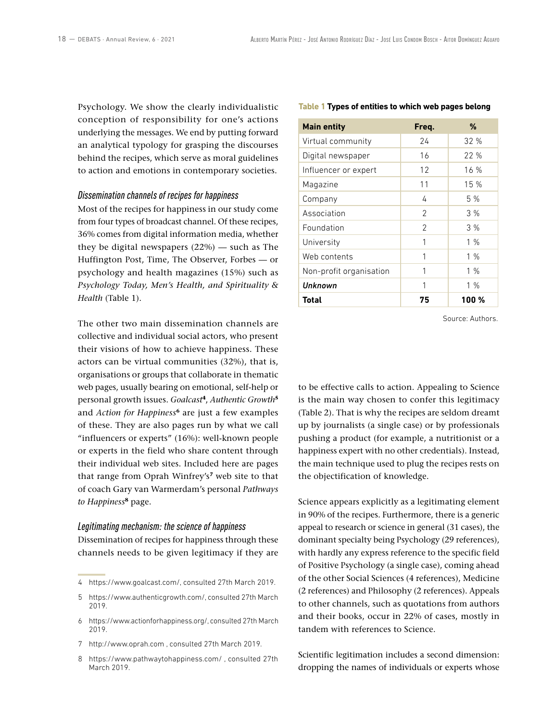Psychology. We show the clearly individualistic conception of responsibility for one's actions underlying the messages. We end by putting forward an analytical typology for grasping the discourses behind the recipes, which serve as moral guidelines to action and emotions in contemporary societies.

#### *Dissemination channels of recipes for happiness*

Most of the recipes for happiness in our study come from four types of broadcast channel. Of these recipes, 36% comes from digital information media, whether they be digital newspapers (22%) — such as The Huffington Post, Time, The Observer, Forbes — or psychology and health magazines (15%) such as *Psychology Today, Men's Health, and Spirituality & Health* (Table 1).

The other two main dissemination channels are collective and individual social actors, who present their visions of how to achieve happiness. These actors can be virtual communities (32%), that is, organisations or groups that collaborate in thematic web pages, usually bearing on emotional, self-help or personal growth issues. *Goalcast***<sup>4</sup>**, *Authentic Growth***<sup>5</sup>** and *Action for Happiness***<sup>6</sup>** are just a few examples of these. They are also pages run by what we call "influencers or experts" (16%): well-known people or experts in the field who share content through their individual web sites. Included here are pages that range from Oprah Winfrey's**<sup>7</sup>** web site to that of coach Gary van Warmerdam's personal *Pathways to Happiness***<sup>8</sup>** page.

### *Legitimating mechanism: the science of happiness*

Dissemination of recipes for happiness through these channels needs to be given legitimacy if they are

7 <http://www.oprah.com>, consulted 27th March 2019.

#### **Table 1 Types of entities to which web pages belong**

| <b>Main entity</b>      | Freq.          | %     |
|-------------------------|----------------|-------|
| Virtual community       | 24             | 32%   |
| Digital newspaper       | 16             | 22%   |
| Influencer or expert    | 12             | 16 %  |
| Magazine                | 11             | 15 %  |
| Company                 | 4              | 5 %   |
| Association             | 2              | 3%    |
| Foundation              | $\mathfrak{D}$ | 3%    |
| University              | 1              | 1%    |
| Web contents            | 1              | 1%    |
| Non-profit organisation | 1              | 1%    |
| Unknown                 | 1              | 1%    |
| Total                   | 75             | 100 % |

Source: Authors.

to be effective calls to action. Appealing to Science is the main way chosen to confer this legitimacy (Table 2). That is why the recipes are seldom dreamt up by journalists (a single case) or by professionals pushing a product (for example, a nutritionist or a happiness expert with no other credentials). Instead, the main technique used to plug the recipes rests on the objectification of knowledge.

Science appears explicitly as a legitimating element in 90% of the recipes. Furthermore, there is a generic appeal to research or science in general (31 cases), the dominant specialty being Psychology (29 references), with hardly any express reference to the specific field of Positive Psychology (a single case), coming ahead of the other Social Sciences (4 references), Medicine (2 references) and Philosophy (2 references). Appeals to other channels, such as quotations from authors and their books, occur in 22% of cases, mostly in tandem with references to Science.

Scientific legitimation includes a second dimension: dropping the names of individuals or experts whose

<sup>4</sup> [https://www.goalcast.com/,](https://www.goalcast.com/) consulted 27th March 2019.

<sup>5</sup> <https://www.authenticgrowth.com/>, consulted 27th March 2019.

<sup>6</sup> [https://www.actionforhappiness.org/,](https://www.actionforhappiness.org/) consulted 27th March 2019.

<sup>8</sup> <https://www.pathwaytohappiness.com/>, consulted 27th March 2019.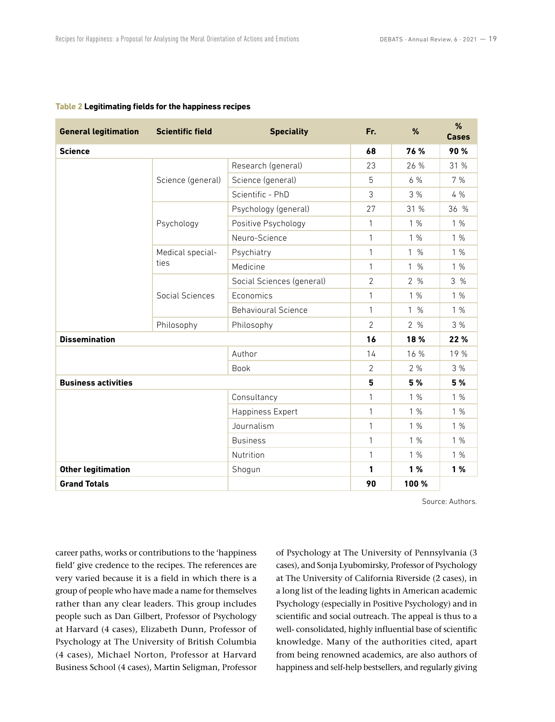| <b>General legitimation</b> | <b>Scientific field</b>  | <b>Speciality</b>          | Fr.            | %     | %<br><b>Cases</b> |
|-----------------------------|--------------------------|----------------------------|----------------|-------|-------------------|
| <b>Science</b>              |                          |                            | 68             | 76 %  | 90%               |
|                             | Science (general)        | Research (general)         | 23             | 26 %  | 31 %              |
|                             |                          | Science (general)          | 5              | 6 %   | 7 %               |
|                             |                          | Scientific - PhD           | 3              | 3 %   | 4 %               |
|                             | Psychology               | Psychology (general)       | 27             | 31 %  | 36 %              |
|                             |                          | Positive Psychology        | 1              | 1%    | 1%                |
|                             |                          | Neuro-Science              | 1              | 1%    | 1%                |
|                             | Medical special-<br>ties | Psychiatry                 | 1              | $1\%$ | 1%                |
|                             |                          | Medicine                   | 1              | $1\%$ | 1%                |
|                             | Social Sciences          | Social Sciences (general)  | 2              | 2%    | 3%                |
|                             |                          | Economics                  | 1              | 1%    | 1%                |
|                             |                          | <b>Behavioural Science</b> | 1              | 1%    | 1%                |
|                             | Philosophy               | Philosophy                 | $\overline{2}$ | 2%    | 3%                |
| <b>Dissemination</b>        |                          | 16                         | 18 %           | 22 %  |                   |
|                             |                          | Author                     | 14             | 16 %  | 19 %              |
|                             |                          | <b>Book</b>                | $\overline{2}$ | 2%    | 3%                |
| <b>Business activities</b>  |                          | 5                          | 5 %            | 5 %   |                   |
|                             |                          | Consultancy                | 1              | 1%    | 1%                |
|                             |                          | Happiness Expert           | 1              | 1%    | 1%                |
|                             |                          | Journalism                 | 1              | 1%    | 1%                |
|                             |                          | <b>Business</b>            | 1              | 1%    | 1%                |
|                             |                          | Nutrition                  | 1              | 1%    | 1%                |
| <b>Other legitimation</b>   |                          | Shogun                     | 1              | 1%    | 1%                |
| <b>Grand Totals</b>         |                          |                            | 90             | 100 % |                   |

#### **Table 2 Legitimating fields for the happiness recipes**

Source: Authors.

career paths, works or contributions to the 'happiness field' give credence to the recipes. The references are very varied because it is a field in which there is a group of people who have made a name for themselves rather than any clear leaders. This group includes people such as Dan Gilbert, Professor of Psychology at Harvard (4 cases), Elizabeth Dunn, Professor of Psychology at The University of British Columbia (4 cases), Michael Norton, Professor at Harvard Business School (4 cases), Martin Seligman, Professor of Psychology at The University of Pennsylvania (3 cases), and Sonja Lyubomirsky, Professor of Psychology at The University of California Riverside (2 cases), in a long list of the leading lights in American academic Psychology (especially in Positive Psychology) and in scientific and social outreach. The appeal is thus to a well- consolidated, highly influential base of scientific knowledge. Many of the authorities cited, apart from being renowned academics, are also authors of happiness and self-help bestsellers, and regularly giving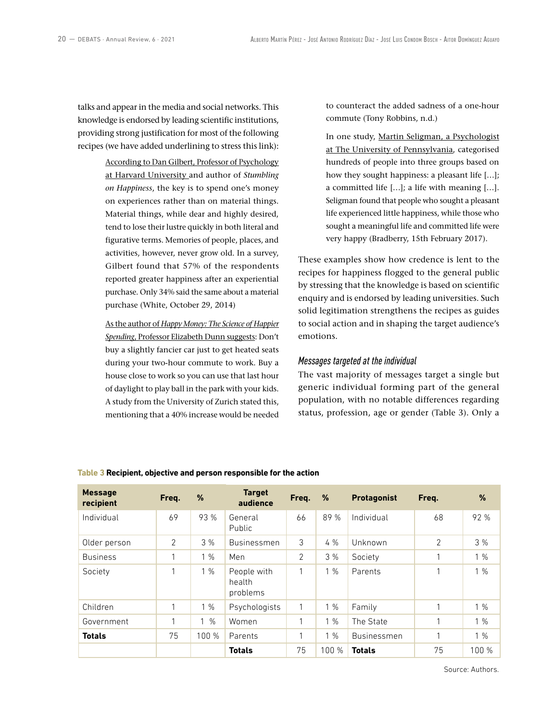talks and appear in the media and social networks. This knowledge is endorsed by leading scientific institutions, providing strong justification for most of the following recipes (we have added underlining to stress this link):

> According to Dan Gilbert, Professor of Psychology at Harvard University and author of *Stumbling on Happiness*, the key is to spend one's money on experiences rather than on material things. Material things, while dear and highly desired, tend to lose their lustre quickly in both literal and figurative terms. Memories of people, places, and activities, however, never grow old. In a survey, Gilbert found that 57% of the respondents reported greater happiness after an experiential purchase. Only 34% said the same about a material purchase (White, October 29, 2014)

> As the author of *Happy Money: The Science of Happier Spending*, Professor Elizabeth Dunn suggests: Don't buy a slightly fancier car just to get heated seats during your two-hour commute to work. Buy a house close to work so you can use that last hour of daylight to play ball in the park with your kids. A study from the University of Zurich stated this, mentioning that a 40% increase would be needed

to counteract the added sadness of a one-hour commute (Tony Robbins, n.d.)

In one study, Martin Seligman, a Psychologist at The University of Pennsylvania, categorised hundreds of people into three groups based on how they sought happiness: a pleasant life […]; a committed life […]; a life with meaning […]. Seligman found that people who sought a pleasant life experienced little happiness, while those who sought a meaningful life and committed life were very happy (Bradberry, 15th February 2017).

These examples show how credence is lent to the recipes for happiness flogged to the general public by stressing that the knowledge is based on scientific enquiry and is endorsed by leading universities. Such solid legitimation strengthens the recipes as guides to social action and in shaping the target audience's emotions.

## *Messages targeted at the individual*

The vast majority of messages target a single but generic individual forming part of the general population, with no notable differences regarding status, profession, age or gender (Table 3). Only a

| <b>Message</b><br>recipient | Freq. | %                             | <b>Target</b><br>audience         | Freq. | %     | <b>Protagonist</b> | Freq.          | %     |
|-----------------------------|-------|-------------------------------|-----------------------------------|-------|-------|--------------------|----------------|-------|
| Individual                  | 69    | 93 %                          | General<br>Public                 | 66    | 89 %  | Individual         | 68             | 92 %  |
| Older person                | 2     | 3%                            | Businessmen                       | 3     | 4%    | Unknown            | $\overline{2}$ | 3 %   |
| <b>Business</b>             | 1     | 1%                            | Men                               | 2     | 3%    | Society            | 1              | 1%    |
| Society                     | 1     | 1%                            | People with<br>health<br>problems | 1     | 1%    | Parents            | 1              | 1%    |
| Children                    | 1     | 1%                            | Psychologists                     | 1     | 1%    | Family             |                | 1%    |
| Government                  | 1     | $\frac{0}{0}$<br>$\mathbf{1}$ | Women                             | 1     | 1%    | The State          | 1              | 1%    |
| <b>Totals</b>               | 75    | 100 %                         | Parents                           | 1     | 1%    | Businessmen        | 1              | 1%    |
|                             |       |                               | <b>Totals</b>                     | 75    | 100 % | <b>Totals</b>      | 75             | 100 % |

#### **Table 3 Recipient, objective and person responsible for the action**

Source: Authors.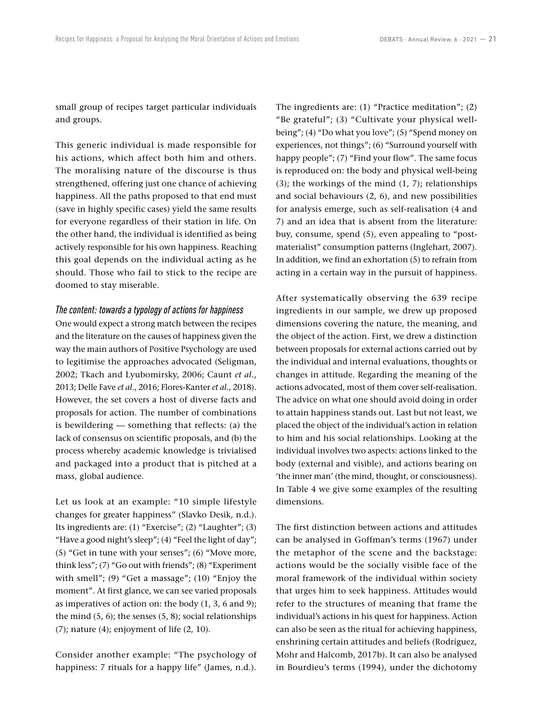small group of recipes target particular individuals and groups.

This generic individual is made responsible for his actions, which affect both him and others. The moralising nature of the discourse is thus strengthened, offering just one chance of achieving happiness. All the paths proposed to that end must (save in highly specific cases) yield the same results for everyone regardless of their station in life. On the other hand, the individual is identified as being actively responsible for his own happiness. Reaching this goal depends on the individual acting as he should. Those who fail to stick to the recipe are doomed to stay miserable.

#### *The content: towards a typology of actions for happiness*

One would expect a strong match between the recipes and the literature on the causes of happiness given the way the main authors of Positive Psychology are used to legitimise the approaches advocated (Seligman, 2002; Tkach and Lyubomirsky, 2006; Caunt *et al*., 2013; Delle Fave *et al*., 2016; Flores-Kanter *et al*., 2018). However, the set covers a host of diverse facts and proposals for action. The number of combinations is bewildering — something that reflects: (a) the lack of consensus on scientific proposals, and (b) the process whereby academic knowledge is trivialised and packaged into a product that is pitched at a mass, global audience.

Let us look at an example: "10 simple lifestyle changes for greater happiness" (Slavko Desik, n.d.). Its ingredients are: (1) "Exercise"; (2) "Laughter"; (3) "Have a good night's sleep"; (4) "Feel the light of day"; (5) "Get in tune with your senses"; (6) "Move more, think less"; (7) "Go out with friends"; (8) "Experiment with smell"; (9) "Get a massage"; (10) "Enjoy the moment". At first glance, we can see varied proposals as imperatives of action on: the body (1, 3, 6 and 9); the mind  $(5, 6)$ ; the senses  $(5, 8)$ ; social relationships  $(7)$ ; nature  $(4)$ ; enjoyment of life  $(2, 10)$ .

Consider another example: "The psychology of happiness: 7 rituals for a happy life" (James, n.d.).

The ingredients are: (1) "Practice meditation"; (2) "Be grateful"; (3) "Cultivate your physical wellbeing"; (4) "Do what you love"; (5) "Spend money on experiences, not things"; (6) "Surround yourself with happy people"; (7) "Find your flow". The same focus is reproduced on: the body and physical well-being (3); the workings of the mind (1, 7); relationships and social behaviours (2, 6), and new possibilities for analysis emerge, such as self-realisation (4 and 7) and an idea that is absent from the literature: buy, consume, spend (5), even appealing to "postmaterialist" consumption patterns (Inglehart, 2007). In addition, we find an exhortation (5) to refrain from acting in a certain way in the pursuit of happiness.

After systematically observing the 639 recipe ingredients in our sample, we drew up proposed dimensions covering the nature, the meaning, and the object of the action. First, we drew a distinction between proposals for external actions carried out by the individual and internal evaluations, thoughts or changes in attitude. Regarding the meaning of the actions advocated, most of them cover self-realisation. The advice on what one should avoid doing in order to attain happiness stands out. Last but not least, we placed the object of the individual's action in relation to him and his social relationships. Looking at the individual involves two aspects: actions linked to the body (external and visible), and actions bearing on 'the inner man' (the mind, thought, or consciousness). In Table 4 we give some examples of the resulting dimensions.

The first distinction between actions and attitudes can be analysed in Goffman's terms (1967) under the metaphor of the scene and the backstage: actions would be the socially visible face of the moral framework of the individual within society that urges him to seek happiness. Attitudes would refer to the structures of meaning that frame the individual's actions in his quest for happiness. Action can also be seen as the ritual for achieving happiness, enshrining certain attitudes and beliefs (Rodríguez, Mohr and Halcomb, 2017b). It can also be analysed in Bourdieu's terms (1994), under the dichotomy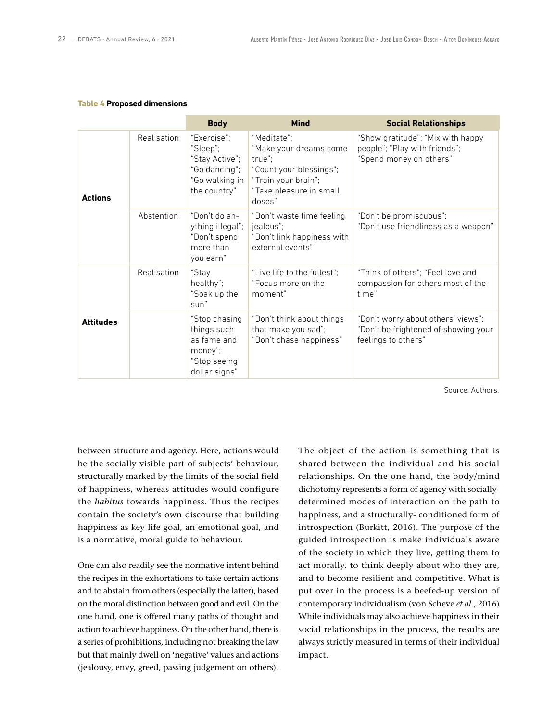#### **Table 4 Proposed dimensions**

|                  |             | <b>Body</b>                                                                                  | <b>Mind</b>                                                                                                                            | <b>Social Relationships</b>                                                                       |
|------------------|-------------|----------------------------------------------------------------------------------------------|----------------------------------------------------------------------------------------------------------------------------------------|---------------------------------------------------------------------------------------------------|
| <b>Actions</b>   | Realisation | "Exercise":<br>"Sleep";<br>"Stay Active";<br>"Go dancing";<br>"Go walking in<br>the country" | "Meditate":<br>"Make your dreams come<br>true";<br>"Count your blessings";<br>"Train your brain";<br>"Take pleasure in small<br>doses" | "Show gratitude"; "Mix with happy<br>people"; "Play with friends";<br>"Spend money on others"     |
|                  | Abstention  | "Don't do an-<br>ything illegal";<br>"Don't spend<br>more than<br>you earn"                  | "Don't waste time feeling<br>jealous":<br>"Don't link happiness with<br>external events"                                               | "Don't be promiscuous";<br>"Don't use friendliness as a weapon"                                   |
|                  | Realisation | "Stay<br>healthy":<br>"Soak up the<br>sun"                                                   | "Live life to the fullest";<br>"Focus more on the<br>moment"                                                                           | "Think of others": "Feel love and<br>compassion for others most of the<br>time"                   |
| <b>Attitudes</b> |             | "Stop chasing<br>things such<br>as fame and<br>money";<br>"Stop seeing<br>dollar signs"      | "Don't think about things<br>that make you sad";<br>"Don't chase happiness"                                                            | "Don't worry about others' views";<br>"Don't be frightened of showing your<br>feelings to others" |

Source: Authors.

between structure and agency. Here, actions would be the socially visible part of subjects' behaviour, structurally marked by the limits of the social field of happiness, whereas attitudes would configure the *habitus* towards happiness. Thus the recipes contain the society's own discourse that building happiness as key life goal, an emotional goal, and is a normative, moral guide to behaviour.

One can also readily see the normative intent behind the recipes in the exhortations to take certain actions and to abstain from others (especially the latter), based on the moral distinction between good and evil. On the one hand, one is offered many paths of thought and action to achieve happiness. On the other hand, there is a series of prohibitions, including not breaking the law but that mainly dwell on 'negative' values and actions (jealousy, envy, greed, passing judgement on others).

The object of the action is something that is shared between the individual and his social relationships. On the one hand, the body/mind dichotomy represents a form of agency with sociallydetermined modes of interaction on the path to happiness, and a structurally- conditioned form of introspection (Burkitt, 2016). The purpose of the guided introspection is make individuals aware of the society in which they live, getting them to act morally, to think deeply about who they are, and to become resilient and competitive. What is put over in the process is a beefed-up version of contemporary individualism (von Scheve *et al*., 2016) While individuals may also achieve happiness in their social relationships in the process, the results are always strictly measured in terms of their individual impact.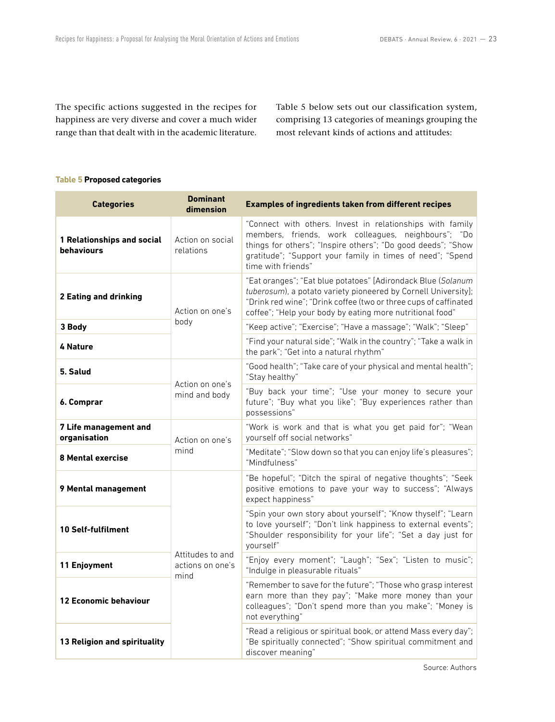The specific actions suggested in the recipes for happiness are very diverse and cover a much wider range than that dealt with in the academic literature. Table 5 below sets out our classification system, comprising 13 categories of meanings grouping the most relevant kinds of actions and attitudes:

#### **Table 5 Proposed categories**

| <b>Categories</b>                        | <b>Dominant</b><br>dimension                 | <b>Examples of ingredients taken from different recipes</b>                                                                                                                                                                                                          |  |  |  |
|------------------------------------------|----------------------------------------------|----------------------------------------------------------------------------------------------------------------------------------------------------------------------------------------------------------------------------------------------------------------------|--|--|--|
| 1 Relationships and social<br>behaviours | Action on social<br>relations                | "Connect with others. Invest in relationships with family<br>members, friends, work colleagues, neighbours"; "Do<br>things for others"; "Inspire others"; "Do good deeds"; "Show<br>gratitude"; "Support your family in times of need"; "Spend<br>time with friends" |  |  |  |
| <b>2 Eating and drinking</b>             | Action on one's                              | "Eat oranges"; "Eat blue potatoes" [Adirondack Blue (Solanum<br>tuberosum), a potato variety pioneered by Cornell University];<br>"Drink red wine"; "Drink coffee (two or three cups of caffinated<br>coffee"; "Help your body by eating more nutritional food"      |  |  |  |
| 3 Body                                   | body                                         | "Keep active"; "Exercise"; "Have a massage"; "Walk"; "Sleep"                                                                                                                                                                                                         |  |  |  |
| 4 Nature                                 |                                              | "Find your natural side"; "Walk in the country"; "Take a walk in<br>the park"; "Get into a natural rhythm"                                                                                                                                                           |  |  |  |
| 5. Salud                                 | Action on one's                              | "Good health"; "Take care of your physical and mental health";<br>"Stay healthy"                                                                                                                                                                                     |  |  |  |
| 6. Comprar                               | mind and body                                | "Buy back your time"; "Use your money to secure your<br>future"; "Buy what you like"; "Buy experiences rather than<br>possessions"                                                                                                                                   |  |  |  |
| 7 Life management and<br>organisation    | Action on one's                              | "Work is work and that is what you get paid for"; "Wean<br>yourself off social networks"                                                                                                                                                                             |  |  |  |
| <b>8 Mental exercise</b>                 | mind                                         | "Meditate"; "Slow down so that you can enjoy life's pleasures";<br>"Mindfulness"                                                                                                                                                                                     |  |  |  |
| 9 Mental management                      | Attitudes to and<br>actions on one's<br>mind | "Be hopeful"; "Ditch the spiral of negative thoughts"; "Seek<br>positive emotions to pave your way to success"; "Always<br>expect happiness"                                                                                                                         |  |  |  |
| <b>10 Self-fulfilment</b>                |                                              | "Spin your own story about yourself"; "Know thyself"; "Learn<br>to love yourself"; "Don't link happiness to external events";<br>"Shoulder responsibility for your life"; "Set a day just for<br>yourself"                                                           |  |  |  |
| 11 Enjoyment                             |                                              | "Enjoy every moment"; "Laugh"; "Sex"; "Listen to music";<br>"Indulge in pleasurable rituals"                                                                                                                                                                         |  |  |  |
| <b>12 Economic behaviour</b>             |                                              | "Remember to save for the future"; "Those who grasp interest<br>earn more than they pay"; "Make more money than your<br>colleagues"; "Don't spend more than you make"; "Money is<br>not everything"                                                                  |  |  |  |
| 13 Religion and spirituality             |                                              | "Read a religious or spiritual book, or attend Mass every day";<br>"Be spiritually connected"; "Show spiritual commitment and<br>discover meaning"                                                                                                                   |  |  |  |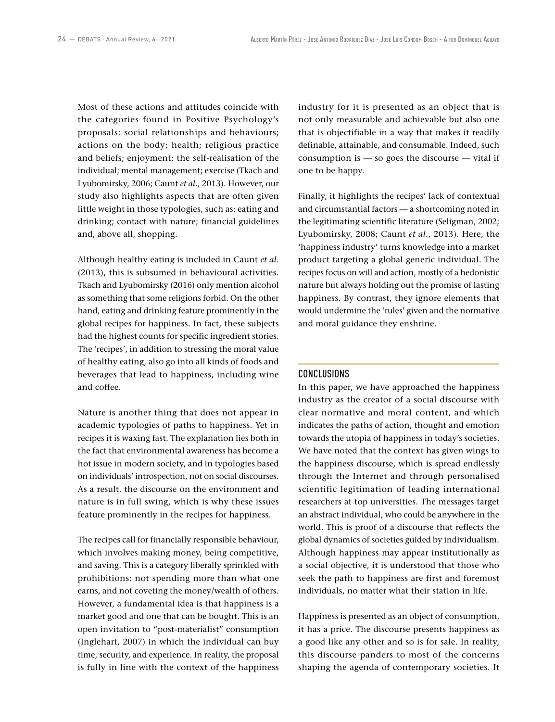Most of these actions and attitudes coincide with the categories found in Positive Psychology's proposals: social relationships and behaviours; actions on the body; health; religious practice and beliefs; enjoyment; the self-realisation of the individual; mental management; exercise (Tkach and Lyubomirsky, 2006; Caunt *et al*., 2013). However, our study also highlights aspects that are often given little weight in those typologies, such as: eating and drinking; contact with nature; financial guidelines and, above all, shopping.

Although healthy eating is included in Caunt *et al*. (2013), this is subsumed in behavioural activities. Tkach and Lyubomirsky (2016) only mention alcohol as something that some religions forbid. On the other hand, eating and drinking feature prominently in the global recipes for happiness. In fact, these subjects had the highest counts for specific ingredient stories. The 'recipes', in addition to stressing the moral value of healthy eating, also go into all kinds of foods and beverages that lead to happiness, including wine and coffee.

Nature is another thing that does not appear in academic typologies of paths to happiness. Yet in recipes it is waxing fast. The explanation lies both in the fact that environmental awareness has become a hot issue in modern society, and in typologies based on individuals' introspection, not on social discourses. As a result, the discourse on the environment and nature is in full swing, which is why these issues feature prominently in the recipes for happiness.

The recipes call for financially responsible behaviour, which involves making money, being competitive, and saving. This is a category liberally sprinkled with prohibitions: not spending more than what one earns, and not coveting the money/wealth of others. However, a fundamental idea is that happiness is a market good and one that can be bought. This is an open invitation to "post-materialist" consumption (Inglehart, 2007) in which the individual can buy time, security, and experience. In reality, the proposal is fully in line with the context of the happiness

industry for it is presented as an object that is not only measurable and achievable but also one that is objectifiable in a way that makes it readily definable, attainable, and consumable. Indeed, such consumption is — so goes the discourse — vital if one to be happy.

Finally, it highlights the recipes' lack of contextual and circumstantial factors — a shortcoming noted in the legitimating scientific literature (Seligman, 2002; Lyubomirsky, 2008; Caunt *et al*., 2013). Here, the 'happiness industry' turns knowledge into a market product targeting a global generic individual. The recipes focus on will and action, mostly of a hedonistic nature but always holding out the promise of lasting happiness. By contrast, they ignore elements that would undermine the 'rules' given and the normative and moral guidance they enshrine.

# CONCLUSIONS

In this paper, we have approached the happiness industry as the creator of a social discourse with clear normative and moral content, and which indicates the paths of action, thought and emotion towards the utopia of happiness in today's societies. We have noted that the context has given wings to the happiness discourse, which is spread endlessly through the Internet and through personalised scientific legitimation of leading international researchers at top universities. The messages target an abstract individual, who could be anywhere in the world. This is proof of a discourse that reflects the global dynamics of societies guided by individualism. Although happiness may appear institutionally as a social objective, it is understood that those who seek the path to happiness are first and foremost individuals, no matter what their station in life.

Happiness is presented as an object of consumption, it has a price. The discourse presents happiness as a good like any other and so is for sale. In reality, this discourse panders to most of the concerns shaping the agenda of contemporary societies. It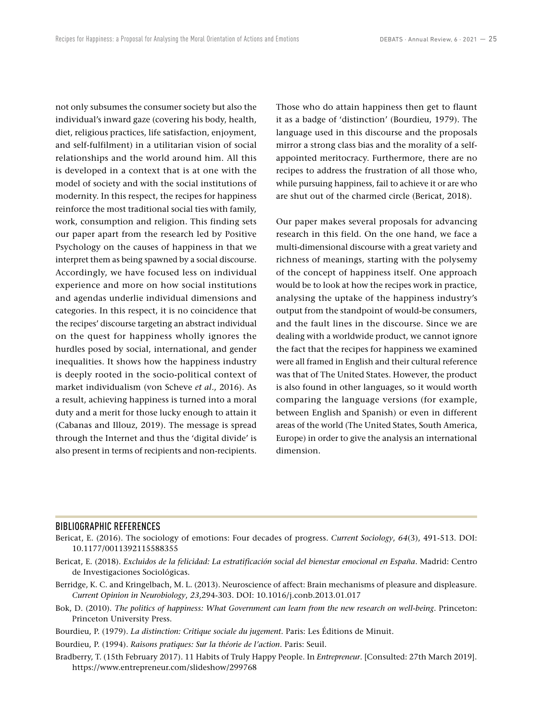not only subsumes the consumer society but also the individual's inward gaze (covering his body, health, diet, religious practices, life satisfaction, enjoyment, and self-fulfilment) in a utilitarian vision of social relationships and the world around him. All this is developed in a context that is at one with the model of society and with the social institutions of modernity. In this respect, the recipes for happiness reinforce the most traditional social ties with family, work, consumption and religion. This finding sets our paper apart from the research led by Positive Psychology on the causes of happiness in that we interpret them as being spawned by a social discourse. Accordingly, we have focused less on individual experience and more on how social institutions and agendas underlie individual dimensions and categories. In this respect, it is no coincidence that the recipes' discourse targeting an abstract individual on the quest for happiness wholly ignores the hurdles posed by social, international, and gender inequalities. It shows how the happiness industry is deeply rooted in the socio-political context of market individualism (von Scheve *et al*., 2016). As a result, achieving happiness is turned into a moral duty and a merit for those lucky enough to attain it (Cabanas and Illouz, 2019). The message is spread through the Internet and thus the 'digital divide' is also present in terms of recipients and non-recipients. Those who do attain happiness then get to flaunt it as a badge of 'distinction' (Bourdieu, 1979). The language used in this discourse and the proposals mirror a strong class bias and the morality of a selfappointed meritocracy. Furthermore, there are no recipes to address the frustration of all those who, while pursuing happiness, fail to achieve it or are who are shut out of the charmed circle (Bericat, 2018).

Our paper makes several proposals for advancing research in this field. On the one hand, we face a multi-dimensional discourse with a great variety and richness of meanings, starting with the polysemy of the concept of happiness itself. One approach would be to look at how the recipes work in practice, analysing the uptake of the happiness industry's output from the standpoint of would-be consumers, and the fault lines in the discourse. Since we are dealing with a worldwide product, we cannot ignore the fact that the recipes for happiness we examined were all framed in English and their cultural reference was that of The United States. However, the product is also found in other languages, so it would worth comparing the language versions (for example, between English and Spanish) or even in different areas of the world (The United States, South America, Europe) in order to give the analysis an international dimension.

#### BIBLIOGRAPHIC REFERENCES

- Bericat, E. (2016). The sociology of emotions: Four decades of progress. *Current Sociology*, *64*(3), 491-513. DOI: [10.1177/0011392115588355](http://dx.doi.org/10.1177/0011392115588355)
- Bericat, E. (2018). *Excluidos de la felicidad: La estratificación social del bienestar emocional en España*. Madrid: Centro de Investigaciones Sociológicas.
- Berridge, K. C. and Kringelbach, M. L. (2013). Neuroscience of affect: Brain mechanisms of pleasure and displeasure. *Current Opinion in Neurobiology*, *23*,294-303. DOI: [10.1016/j.conb.2013.01.017](http://dx.doi.org/10.1016/j.conb.2013.01.017)
- Bok, D. (2010). *The politics of happiness: What Government can learn from the new research on well-being*. Princeton: Princeton University Press.
- Bourdieu, P. (1979). *La distinction: Critique sociale du jugement*. Paris: Les Éditions de Minuit.
- Bourdieu, P. (1994). *Raisons pratiques: Sur la théorie de l'action*. Paris: Seuil.
- Bradberry, T. (15th February 2017). 11 Habits of Truly Happy People. In *Entrepreneur*. [Consulted: 27th March 2019]. <https://www.entrepreneur.com/slideshow/299768>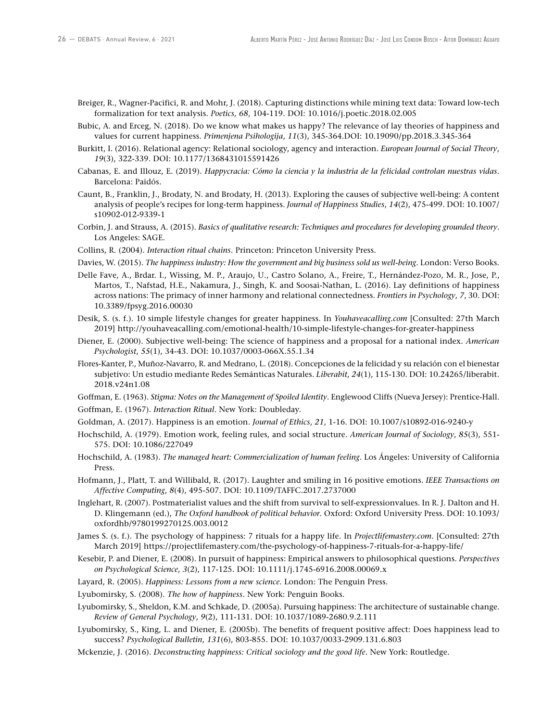- Breiger, R., Wagner-Pacifici, R. and Mohr, J. (2018). Capturing distinctions while mining text data: Toward low-tech formalization for text analysis. *Poetics, 68*, 104-119. DOI: [10.1016/j.poetic.2018.02.005](http://dx.doi.org/10.1016/j.poetic.2018.02.005)
- Bubic, A. and Erceg, N. (2018). Do we know what makes us happy? The relevance of lay theories of happiness and values for current happiness. *Primenjena Psihologija*, *11*(3), 345-364.DOI: [10.19090/pp.2018.3.345-364](https://dx.doi.org/10.19090/pp.2018.3.345-364)
- Burkitt, I. (2016). Relational agency: Relational sociology, agency and interaction. *European Journal of Social Theory*, *19*(3), 322-339. DOI: [10.1177/1368431015591426](https://doi.org/10.1177%2F1368431015591426)
- Cabanas, E. and Illouz, E. (2019). *Happycracia: Cómo la ciencia y la industria de la felicidad controlan nuestras vidas*. Barcelona: Paidós.
- Caunt, B., Franklin, J., Brodaty, N. and Brodaty, H. (2013). Exploring the causes of subjective well-being: A content analysis of people's recipes for long-term happiness. *Journal of Happiness Studies*, *14*(2), 475-499. DOI: [10.1007/](https://dx.doi.org/10.1007/s10902-012-9339-1) [s10902-012-9339-1](https://dx.doi.org/10.1007/s10902-012-9339-1)
- Corbin, J. and Strauss, A. (2015). *Basics of qualitative research: Techniques and procedures for developing grounded theory*. Los Angeles: SAGE.
- Collins, R. (2004). *Interaction ritual chains*. Princeton: Princeton University Press.
- Davies, W. (2015). *The happiness industry: How the government and big business sold us well-being*. London: Verso Books.
- Delle Fave, A., Brdar. I., Wissing, M. P., Araujo, U., Castro Solano, A., Freire, T., Hernández-Pozo, M. R., Jose, P., Martos, T., Nafstad, H.E., Nakamura, J., Singh, K. and Soosai-Nathan, L. (2016). Lay definitions of happiness across nations: The primacy of inner harmony and relational connectedness. *Frontiers in Psychology*, *7*, 30. DOI: [10.3389/fpsyg.2016.00030](https://dx.doi.org/10.3389/fpsyg.2016.00030)
- Desik, S. (s. f.). 10 simple lifestyle changes for greater happiness. In *Youhaveacalling.com* [Consulted: 27th March 2019]<http://youhaveacalling.com/emotional-health/10-simple-lifestyle-changes-for-greater-happiness>
- Diener, E. (2000). Subjective well-being: The science of happiness and a proposal for a national index. *American Psychologist*, *55*(1), 34-43. DOI: [10.1037/0003-066X.55.1.34](https://dx.doi.org/10.1037/0003-066X.55.1.34)
- Flores-Kanter, P., Muñoz-Navarro, R. and Medrano, L. (2018). Concepciones de la felicidad y su relación con el bienestar subjetivo: Un estudio mediante Redes Semánticas Naturales. *Liberabit*, *24*(1), 115-130. DOI: [10.24265/liberabit.](http://dx.doi.org/10.24265/liberabit.2018.v24n1.08) [2018.v24n1.08](http://dx.doi.org/10.24265/liberabit.2018.v24n1.08)
- Goffman, E. (1963). *Stigma: Notes on the Management of Spoiled Identity*. Englewood Cliffs (Nueva Jersey): Prentice-Hall.
- Goffman, E. (1967). *Interaction Ritual*. New York: Doubleday.
- Goldman, A. (2017). Happiness is an emotion. *Journal of Ethics*, *21*, 1-16. DOI: [10.1007/s10892-016-9240-y](http://dx.doi.org/10.1007/s10892-016-9240-y)
- Hochschild, A. (1979). Emotion work, feeling rules, and social structure. *American Journal of Sociology*, *85*(3), 551- 575. DOI: [10.1086/227049](http://dx.doi.org/10.1086/227049)
- Hochschild, A. (1983). *The managed heart: Commercialization of human feeling*. Los Ángeles: University of California Press.
- Hofmann, J., Platt, T. and Willibald, R. (2017). Laughter and smiling in 16 positive emotions. *IEEE Transactions on Affective Computing*, *8*(4), 495-507. DOI: [10.1109/TAFFC.2017.2737000](http://dx.doi.org/10.1109/TAFFC.2017.2737000)
- Inglehart, R. (2007). Postmaterialist values and the shift from survival to self-expressionvalues. In R. J. Dalton and H. D. Klingemann (ed.), *The Oxford handbook of political behavior*. Oxford: Oxford University Press. DOI: [10.1093/](https://dx.doi.org/10.1093/oxfordhb/9780199270125.003.0012) [oxfordhb/9780199270125.003.0012](https://dx.doi.org/10.1093/oxfordhb/9780199270125.003.0012)
- James S. (s. f.). The psychology of happiness: 7 rituals for a happy life. In *Projectlifemastery.com*. [Consulted: 27th March 2019] <https://projectlifemastery.com/the-psychology-of-happiness-7-rituals-for-a-happy-life/>
- Kesebir, P. and Diener, E. (2008). In pursuit of happiness: Empirical answers to philosophical questions. *Perspectives on Psychological Science*, *3*(2), 117-125. DOI: [10.1111/j.1745-6916.2008.00069.x](http://dx.doi.org/10.1111/j.1745-6916.2008.00069.x)
- Layard, R. (2005). *Happiness: Lessons from a new science.* London: The Penguin Press.
- Lyubomirsky, S. (2008). *The how of happiness*. New York: Penguin Books.
- Lyubomirsky, S., Sheldon, K.M. and Schkade, D. (2005a). Pursuing happiness: The architecture of sustainable change. *Review of General Psychology*, *9*(2), 111-131. DOI: [10.1037/1089-2680.9.2.111](https://dx.doi.org/10.1037/1089-2680.9.2.111)
- Lyubomirsky, S., King, L. and Diener, E. (2005b). The benefits of frequent positive affect: Does happiness lead to success? *Psychological Bulletin*, *131*(6), 803-855. DOI: [10.1037/0033-2909.131.6.803](https://dx.doi.org/10.1037/0033-2909.131.6.803)
- Mckenzie, J. (2016). *Deconstructing happiness: Critical sociology and the good life*. New York: Routledge.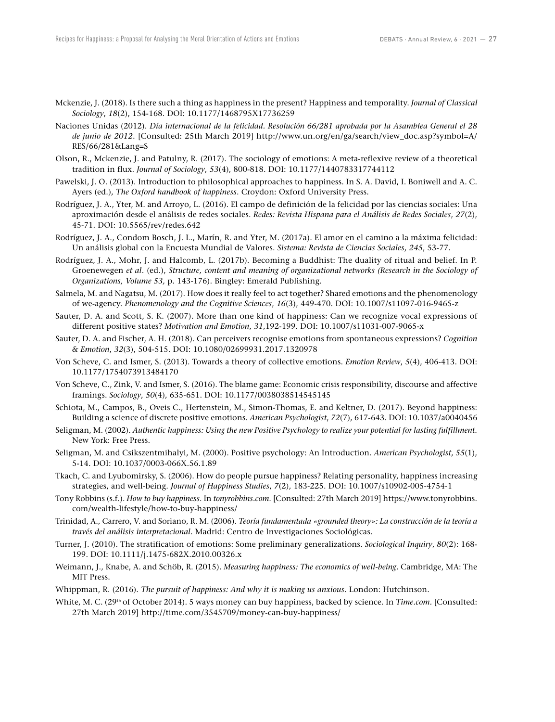- Mckenzie, J. (2018). Is there such a thing as happiness in the present? Happiness and temporality. *Journal of Classical Sociology*, *18*(2), 154-168. DOI: [10.1177/1468795X17736259](https://dx.doi.org/10.1177/1468795X17736259)
- Naciones Unidas (2012). *Día internacional de la felicidad. Resolución 66/281 aprobada por la Asamblea General el 28 de junio de 2012*. [Consulted: 25th March 2019] [http://www.un.org/en/ga/search/view\\_doc.asp?symbol=A/](http://www.un.org/en/ga/search/view_doc.asp?symbol=A/RES/66/281&Lang=S) [RES/66/281&Lang=S](http://www.un.org/en/ga/search/view_doc.asp?symbol=A/RES/66/281&Lang=S)
- Olson, R., Mckenzie, J. and Patulny, R. (2017). The sociology of emotions: A meta-reflexive review of a theoretical tradition in flux. *Journal of Sociology*, *53*(4), 800-818. DOI: [10.1177/1440783317744112](https://doi.org/10.1177%2F1440783317744112)
- Pawelski, J. O. (2013). Introduction to philosophical approaches to happiness. In S. A. David, I. Boniwell and A. C. Ayers (ed.), *The Oxford handbook of happiness*. Croydon: Oxford University Press.
- Rodríguez, J. A., Yter, M. and Arroyo, L. (2016). El campo de definición de la felicidad por las ciencias sociales: Una aproximación desde el análisis de redes sociales. *Redes: Revista Hispana para el Análisis de Redes Sociales*, *27*(2), 45-71. DOI: [10.5565/rev/redes.642](https://doi.org/10.5565/rev/redes.642)
- Rodríguez, J. A., Condom Bosch, J. L., Marín, R. and Yter, M. (2017a). El amor en el camino a la máxima felicidad: Un análisis global con la Encuesta Mundial de Valores. *Sistema: Revista de Ciencias Sociales*, *245*, 53-77.
- Rodríguez, J. A., Mohr, J. and Halcomb, L. (2017b). Becoming a Buddhist: The duality of ritual and belief. In P. Groenewegen *et al*. (ed.), *Structure, content and meaning of organizational networks (Research in the Sociology of Organizations, Volume 53,* p. 143-176). Bingley: Emerald Publishing.
- Salmela, M. and Nagatsu, M. (2017). How does it really feel to act together? Shared emotions and the phenomenology of we-agency. *Phenomenology and the Cognitive Sciences*, *16*(3), 449-470. DOI: [10.1007/s11097-016-9465-z](http://dx.doi.org/10.1007/s11097-016-9465-z)
- Sauter, D. A. and Scott, S. K. (2007). More than one kind of happiness: Can we recognize vocal expressions of different positive states? *Motivation and Emotion*, *31*,192-199. DOI: [10.1007/s11031-007-9065-x](http://dx.doi.org/10.1007/s11031-007-9065-x)
- Sauter, D. A. and Fischer, A. H. (2018). Can perceivers recognise emotions from spontaneous expressions? *Cognition & Emotion*, *32*(3), 504-515. DOI: [10.1080/02699931.2017.1320978](https://dx.doi.org/10.1080/02699931.2017.1320978)
- Von Scheve, C. and Ismer, S. (2013). Towards a theory of collective emotions. *Emotion Review*, *5*(4), 406-413. DOI: [10.1177/1754073913484170](http://dx.doi.org/10.1177/1754073913484170)
- Von Scheve, C., Zink, V. and Ismer, S. (2016). The blame game: Economic crisis responsibility, discourse and affective framings. *Sociology*, *50*(4), 635-651. DOI: [10.1177/0038038514545145](http://dx.doi.org/10.1177/0038038514545145)
- Schiota, M., Campos, B., Oveis C., Hertenstein, M., Simon-Thomas, E. and Keltner, D. (2017). Beyond happiness: Building a science of discrete positive emotions. *American Psychologist*, *72*(7), 617-643. DOI: [10.1037/a0040456](https://dx.doi.org/10.1037/a0040456)
- Seligman, M. (2002). *Authentic happiness: Using the new Positive Psychology to realize your potential for lasting fulfillment*. New York: Free Press.
- Seligman, M. and Csikszentmihalyi, M. (2000). Positive psychology: An Introduction. *American Psychologist*, *55*(1), 5-14. DOI: [10.1037/0003-066X.56.1.89](http://dx.doi.org/10.1037/0003-066X.56.1.89)
- Tkach, C. and Lyubomirsky, S. (2006). How do people pursue happiness? Relating personality, happiness increasing strategies, and well-being. *Journal of Happiness Studies*, *7*(2), 183-225. DOI: [10.1007/s10902-005-4754-1](https://dx.doi.org/10.1007/s10902-005-4754-1)
- Tony Robbins (s.f.). *How to buy happiness*. In *tonyrobbins.com*. [Consulted: 27th March 2019] [https://www.tonyrobbins.](https://www.tonyrobbins.com/wealth-lifestyle/how-to-buy-happiness/) [com/wealth-lifestyle/how-to-buy-happiness/](https://www.tonyrobbins.com/wealth-lifestyle/how-to-buy-happiness/)
- Trinidad, A., Carrero, V. and Soriano, R. M. (2006). *Teoría fundamentada «grounded theory»: La construcción de la teoría a través del análisis interpretacional.* Madrid: Centro de Investigaciones Sociológicas.
- Turner, J. (2010). The stratification of emotions: Some preliminary generalizations. *Sociological Inquiry*, *80*(2): 168- 199. DOI: [10.1111/j.1475-682X.2010.00326.x](http://dx.doi.org/10.1111/j.1475-682X.2010.00326.x)
- Weimann, J., Knabe, A. and Schöb, R. (2015). *Measuring happiness: The economics of well-being*. Cambridge, MA: The MIT Press.
- Whippman, R. (2016). *The pursuit of happiness: And why it is making us anxious*. London: Hutchinson.
- White, M. C. (29<sup>th</sup> of October 2014). 5 ways money can buy happiness, backed by science. In *Time.com*. [Consulted: 27th March 2019]<http://time.com/3545709/money-can-buy-happiness/>